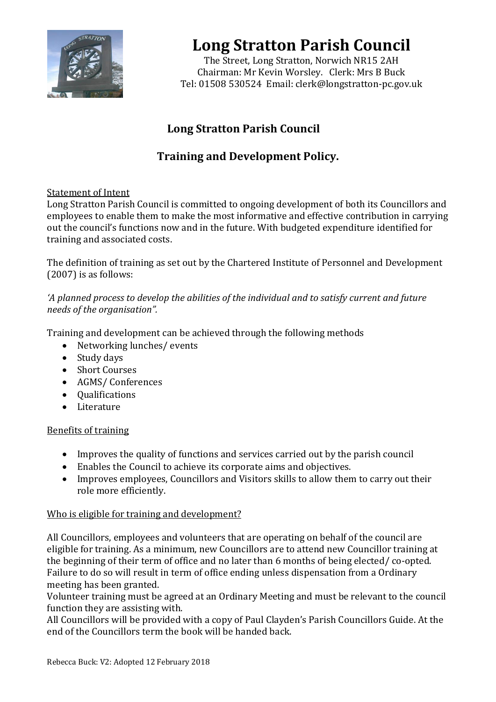

## **Long Stratton Parish Council**

The Street, Long Stratton, Norwich NR15 2AH Chairman: Mr Kevin Worsley. Clerk: Mrs B Buck Tel: 01508 530524 Email: [clerk@longstratton-pc.gov.uk](mailto:clerk@longstratton-pc.gov.uk)

## **Long Stratton Parish Council**

### **Training and Development Policy.**

#### Statement of Intent

Long Stratton Parish Council is committed to ongoing development of both its Councillors and employees to enable them to make the most informative and effective contribution in carrying out the council's functions now and in the future. With budgeted expenditure identified for training and associated costs.

The definition of training as set out by the Chartered Institute of Personnel and Development (2007) is as follows:

#### *'A planned process to develop the abilities of the individual and to satisfy current and future needs of the organisation".*

Training and development can be achieved through the following methods

- Networking lunches/events
- Study days
- Short Courses
- AGMS/ Conferences
- Qualifications
- Literature

#### Benefits of training

- Improves the quality of functions and services carried out by the parish council
- Enables the Council to achieve its corporate aims and objectives.
- Improves employees, Councillors and Visitors skills to allow them to carry out their role more efficiently.

#### Who is eligible for training and development?

All Councillors, employees and volunteers that are operating on behalf of the council are eligible for training. As a minimum, new Councillors are to attend new Councillor training at the beginning of their term of office and no later than 6 months of being elected/ co-opted. Failure to do so will result in term of office ending unless dispensation from a Ordinary meeting has been granted.

Volunteer training must be agreed at an Ordinary Meeting and must be relevant to the council function they are assisting with.

All Councillors will be provided with a copy of Paul Clayden's Parish Councillors Guide. At the end of the Councillors term the book will be handed back.